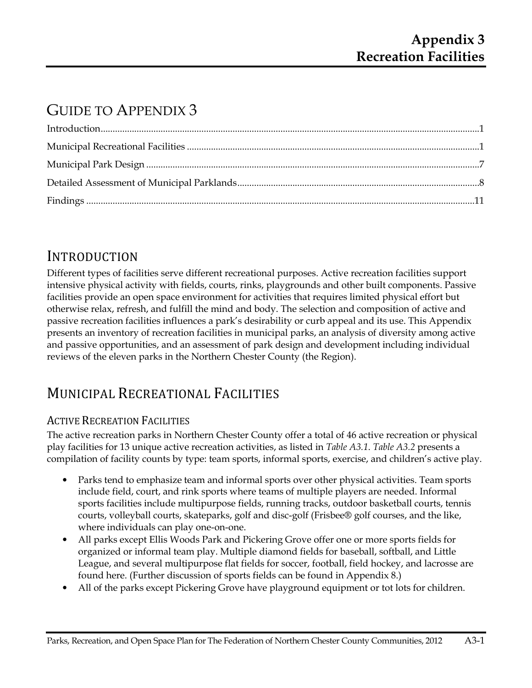# GUIDE TO APPENDIX 3

# INTRODUCTION

Different types of facilities serve different recreational purposes. Active recreation facilities support intensive physical activity with fields, courts, rinks, playgrounds and other built components. Passive facilities provide an open space environment for activities that requires limited physical effort but otherwise relax, refresh, and fulfill the mind and body. The selection and composition of active and passive recreation facilities influences a park's desirability or curb appeal and its use. This Appendix presents an inventory of recreation facilities in municipal parks, an analysis of diversity among active and passive opportunities, and an assessment of park design and development including individual reviews of the eleven parks in the Northern Chester County (the Region).

# MUNICIPAL RECREATIONAL FACILITIES

### ACTIVE RECREATION FACILITIES

The active recreation parks in Northern Chester County offer a total of 46 active recreation or physical play facilities for 13 unique active recreation activities, as listed in *Table A3.1*. *Table A3.2* presents a compilation of facility counts by type: team sports, informal sports, exercise, and children's active play.

- Parks tend to emphasize team and informal sports over other physical activities. Team sports include field, court, and rink sports where teams of multiple players are needed. Informal sports facilities include multipurpose fields, running tracks, outdoor basketball courts, tennis courts, volleyball courts, skateparks, golf and disc-golf (Frisbee® golf courses, and the like, where individuals can play one-on-one.
- All parks except Ellis Woods Park and Pickering Grove offer one or more sports fields for organized or informal team play. Multiple diamond fields for baseball, softball, and Little League, and several multipurpose flat fields for soccer, football, field hockey, and lacrosse are found here. (Further discussion of sports fields can be found in Appendix 8.)
- All of the parks except Pickering Grove have playground equipment or tot lots for children.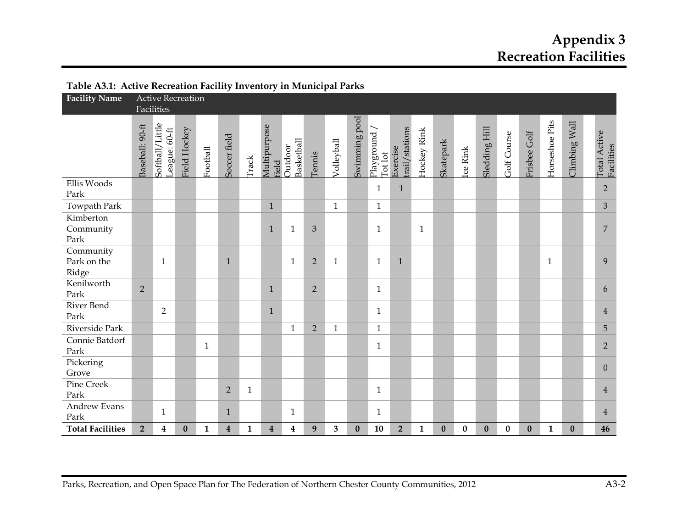# **Appendix 3 Recreation Facilities**

| Table AS.I. Active Recleation Pacific Inventory in Municipal Farks |                 |                                                   |                  |              |                         |              |                         |                       |                |              |               |                       |                            |              |           |          |               |                    |              |                |               |                            |                |
|--------------------------------------------------------------------|-----------------|---------------------------------------------------|------------------|--------------|-------------------------|--------------|-------------------------|-----------------------|----------------|--------------|---------------|-----------------------|----------------------------|--------------|-----------|----------|---------------|--------------------|--------------|----------------|---------------|----------------------------|----------------|
| <b>Facility Name</b>                                               |                 | <b>Active Recreation</b><br>Facilities            |                  |              |                         |              |                         |                       |                |              |               |                       |                            |              |           |          |               |                    |              |                |               |                            |                |
|                                                                    | Baseball: 90-ft | /Little<br>League: 60-ft<br>Softball <sub>/</sub> | Field Hockey     | Football     | Soccer field            | Track        | Multipurpose<br>field   | Basketball<br>Outdoor | Tennis         | Volleyball   | Swimming pool | Playground<br>Tot lot | trail/stations<br>Exercise | Hockey Rink  | Skatepark | Ice Rink | Sledding Hill | <b>Golf Course</b> | Frisbee Golf | Horseshoe Pits | Climbing Wall | Total Active<br>Facilities |                |
| Ellis Woods<br>Park                                                |                 |                                                   |                  |              |                         |              |                         |                       |                |              |               | $\mathbf{1}$          | $\mathbf{1}$               |              |           |          |               |                    |              |                |               |                            | $\overline{2}$ |
| Towpath Park                                                       |                 |                                                   |                  |              |                         |              | $\mathbf{1}$            |                       |                | $\mathbf{1}$ |               | $\mathbf{1}$          |                            |              |           |          |               |                    |              |                |               |                            | $\mathfrak{Z}$ |
| Kimberton<br>Community<br>Park                                     |                 |                                                   |                  |              |                         |              | $\mathbf{1}$            | $\mathbf{1}$          | $\mathfrak{Z}$ |              |               | $\mathbf{1}$          |                            | $\mathbf{1}$ |           |          |               |                    |              |                |               |                            | $\overline{7}$ |
| Community<br>Park on the<br>Ridge                                  |                 | $\mathbf{1}$                                      |                  |              | $\mathbf{1}$            |              |                         | $\mathbf{1}$          | $\overline{2}$ | $\mathbf{1}$ |               | $\mathbf{1}$          | $\mathbf{1}$               |              |           |          |               |                    |              | $\mathbf{1}$   |               | 9                          |                |
| Kenilworth<br>Park                                                 | $\overline{2}$  |                                                   |                  |              |                         |              | $\mathbf{1}$            |                       | $\overline{2}$ |              |               | $\mathbf{1}$          |                            |              |           |          |               |                    |              |                |               | 6                          |                |
| River Bend<br>Park                                                 |                 | $\overline{2}$                                    |                  |              |                         |              | $\mathbf{1}$            |                       |                |              |               | $\mathbf{1}$          |                            |              |           |          |               |                    |              |                |               |                            | $\overline{4}$ |
| Riverside Park                                                     |                 |                                                   |                  |              |                         |              |                         | $\mathbf{1}$          | $\overline{2}$ | $\mathbf{1}$ |               | $\mathbf{1}$          |                            |              |           |          |               |                    |              |                |               |                            | 5              |
| Connie Batdorf<br>Park                                             |                 |                                                   |                  | $\mathbf{1}$ |                         |              |                         |                       |                |              |               | $\mathbf{1}$          |                            |              |           |          |               |                    |              |                |               |                            | $2^{\circ}$    |
| Pickering<br>Grove                                                 |                 |                                                   |                  |              |                         |              |                         |                       |                |              |               |                       |                            |              |           |          |               |                    |              |                |               |                            | $\overline{0}$ |
| <b>Pine Creek</b><br>Park                                          |                 |                                                   |                  |              | $\overline{2}$          | $\mathbf{1}$ |                         |                       |                |              |               | $\mathbf{1}$          |                            |              |           |          |               |                    |              |                |               |                            | $\overline{4}$ |
| <b>Andrew Evans</b><br>Park                                        |                 | 1                                                 |                  |              | $\mathbf{1}$            |              |                         | $\mathbf{1}$          |                |              |               | $\mathbf{1}$          |                            |              |           |          |               |                    |              |                |               |                            | $\overline{4}$ |
| <b>Total Facilities</b>                                            | $\overline{2}$  | 4                                                 | $\boldsymbol{0}$ | $\mathbf{1}$ | $\overline{\mathbf{4}}$ | $\mathbf{1}$ | $\overline{\mathbf{4}}$ | $\boldsymbol{4}$      | 9              | $\mathbf{3}$ | $\pmb{0}$     | 10                    | $\overline{2}$             | $\mathbf{1}$ | $\bf{0}$  | $\bf{0}$ | $\bf{0}$      | $\bf{0}$           | $\bf{0}$     | $\mathbf{1}$   | $\bf{0}$      |                            | 46             |

#### **Table A3.1: Active Recreation Facility Inventory in Municipal Parks**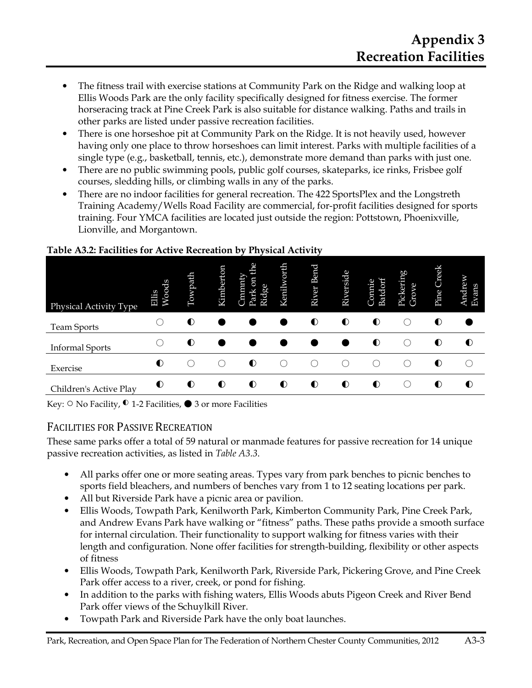- The fitness trail with exercise stations at Community Park on the Ridge and walking loop at Ellis Woods Park are the only facility specifically designed for fitness exercise. The former horseracing track at Pine Creek Park is also suitable for distance walking. Paths and trails in other parks are listed under passive recreation facilities.
- There is one horseshoe pit at Community Park on the Ridge. It is not heavily used, however having only one place to throw horseshoes can limit interest. Parks with multiple facilities of a single type (e.g., basketball, tennis, etc.), demonstrate more demand than parks with just one.
- There are no public swimming pools, public golf courses, skateparks, ice rinks, Frisbee golf courses, sledding hills, or climbing walls in any of the parks.
- There are no indoor facilities for general recreation. The 422 SportsPlex and the Longstreth Training Academy/Wells Road Facility are commercial, for-profit facilities designed for sports training. Four YMCA facilities are located just outside the region: Pottstown, Phoenixville, Lionville, and Morgantown.

| Physical Activity Type | Woods<br><b>Eilis</b> | Towpath   | Kimberton | <b>de</b><br>wumur.<br>5<br>Ridge<br>Park | Kenilworth | Bend<br>River | Riverside | Batdorf<br>Connie | Pickering<br>Grove | Creek<br>Pine | <b>Indrew</b><br>Evans |
|------------------------|-----------------------|-----------|-----------|-------------------------------------------|------------|---------------|-----------|-------------------|--------------------|---------------|------------------------|
| <b>Team Sports</b>     |                       | $\bullet$ |           |                                           |            | $\bullet$     | $\bullet$ | $\bullet$         |                    | $\bullet$     |                        |
| <b>Informal Sports</b> |                       | $\bullet$ |           |                                           |            |               |           | $\bullet$         |                    | $\bullet$     | $\bullet$              |
| Exercise               | $\bullet$             |           | (         | $\bullet$                                 |            |               |           |                   | $\Box$             | $\bullet$     |                        |
| Children's Active Play | $\bullet$             | $\bullet$ | $\bullet$ | $\bullet$                                 | $\bullet$  | $\bullet$     | $\bullet$ | $\bullet$         |                    | $\bullet$     | $\bullet$              |

#### **Table A3.2: Facilities for Active Recreation by Physical Activity**

Key:  $\circ$  No Facility,  $\bullet$  1-2 Facilities,  $\bullet$  3 or more Facilities

#### FACILITIES FOR PASSIVE RECREATION

These same parks offer a total of 59 natural or manmade features for passive recreation for 14 unique passive recreation activities, as listed in *Table A3.3*.

- All parks offer one or more seating areas. Types vary from park benches to picnic benches to sports field bleachers, and numbers of benches vary from 1 to 12 seating locations per park.
- All but Riverside Park have a picnic area or pavilion.
- Ellis Woods, Towpath Park, Kenilworth Park, Kimberton Community Park, Pine Creek Park, and Andrew Evans Park have walking or "fitness" paths. These paths provide a smooth surface for internal circulation. Their functionality to support walking for fitness varies with their length and configuration. None offer facilities for strength-building, flexibility or other aspects of fitness
- Ellis Woods, Towpath Park, Kenilworth Park, Riverside Park, Pickering Grove, and Pine Creek Park offer access to a river, creek, or pond for fishing.
- In addition to the parks with fishing waters, Ellis Woods abuts Pigeon Creek and River Bend Park offer views of the Schuylkill River.
- Towpath Park and Riverside Park have the only boat launches.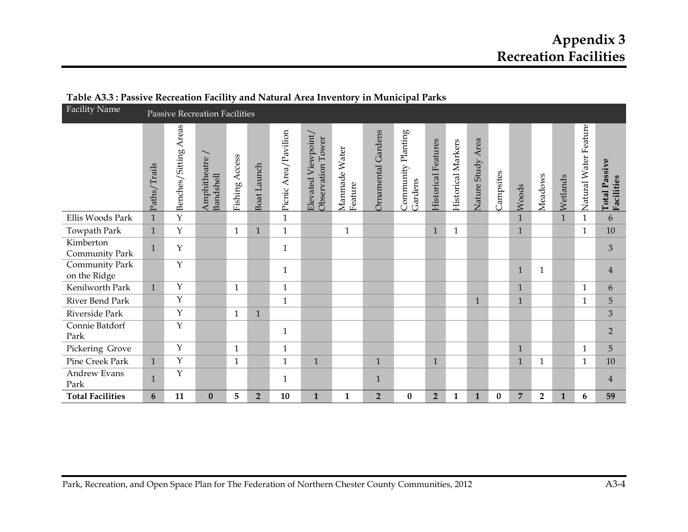| <b>Facility Name</b>           |              |                       | <b>Passive Recreation Facilities</b> |                |              |                      |                                             |                          |                         | $\cdots$ $\cdots$ $\cdots$ $\cdots$ $\cdots$ $\cdots$ |                            |                    |                      |           |                |                         |              |                       |                                     |
|--------------------------------|--------------|-----------------------|--------------------------------------|----------------|--------------|----------------------|---------------------------------------------|--------------------------|-------------------------|-------------------------------------------------------|----------------------------|--------------------|----------------------|-----------|----------------|-------------------------|--------------|-----------------------|-------------------------------------|
|                                | Paths/Trails | Benches/Sitting Areas | Amphitheatre<br>Bandshell            | Fishing Access | Boat Launch  | Picnic Area/Pavilion | Viewpoint/<br>Observation Tower<br>Elevated | Manmade Water<br>Feature | Ornamental Gardens      | Community Planting<br>Gardens                         | <b>Historical Features</b> | Historical Markers | Area<br>Nature Study | Campsites | Woods          | Meadows                 | Wetlands     | Natural Water Feature | <b>Total Passive<br/>Facilities</b> |
| Ellis Woods Park               | $\mathbf{1}$ | Y                     |                                      |                |              | $\mathbf{1}$         |                                             |                          |                         |                                                       |                            |                    |                      |           | $\mathbf{1}$   |                         | $\mathbf{1}$ | 1                     | 6                                   |
| Towpath Park                   | $\mathbf{1}$ | $\mathbf Y$           |                                      | $\mathbf{1}$   | $\mathbf{1}$ | $\mathbf{1}$         |                                             | $\mathbf{1}$             |                         |                                                       | $\mathbf{1}$               | $\mathbf{1}$       |                      |           | $\mathbf{1}$   |                         |              | $\mathbf{1}$          | 10                                  |
| Kimberton<br>Community Park    | $\mathbf{1}$ | Υ                     |                                      |                |              | $\mathbf{1}$         |                                             |                          |                         |                                                       |                            |                    |                      |           |                |                         |              |                       | 3                                   |
| Community Park<br>on the Ridge |              | $\mathbf{Y}$          |                                      |                |              | $\mathbf{1}$         |                                             |                          |                         |                                                       |                            |                    |                      |           | $\mathbf{1}$   | $\mathbf{1}$            |              |                       | $\overline{4}$                      |
| Kenilworth Park                | $\mathbf{1}$ | Y                     |                                      | $\mathbf{1}$   |              | 1                    |                                             |                          |                         |                                                       |                            |                    |                      |           | $\mathbf{1}$   |                         |              | 1                     | 6                                   |
| River Bend Park                |              | Y                     |                                      |                |              | $\mathbf{1}$         |                                             |                          |                         |                                                       |                            |                    | $\mathbf{1}$         |           | $\mathbf{1}$   |                         |              | $\mathbf{1}$          | 5                                   |
| Riverside Park                 |              | Y                     |                                      | $\mathbf{1}$   | $\mathbf{1}$ |                      |                                             |                          |                         |                                                       |                            |                    |                      |           |                |                         |              |                       | 3                                   |
| Connie Batdorf<br>Park         |              | Y                     |                                      |                |              | $\mathbf{1}$         |                                             |                          |                         |                                                       |                            |                    |                      |           |                |                         |              |                       | $\overline{2}$                      |
| Pickering Grove                |              | Y                     |                                      | $\mathbf{1}$   |              | $\mathbf{1}$         |                                             |                          |                         |                                                       |                            |                    |                      |           | $\mathbf{1}$   |                         |              | $\mathbf{1}$          | 5                                   |
| Pine Creek Park                | $\mathbf{1}$ | Y                     |                                      | $\mathbf{1}$   |              | $\mathbf{1}$         | $\mathbf{1}$                                |                          | $\mathbf{1}$            |                                                       | $\mathbf{1}$               |                    |                      |           | $\mathbf{1}$   | 1                       |              | $\mathbf{1}$          | 10                                  |
| Andrew Evans<br>Park           | $\mathbf{1}$ | Y                     |                                      |                |              | $\mathbf{1}$         |                                             |                          | $\mathbf{1}$            |                                                       |                            |                    |                      |           |                |                         |              |                       | $\overline{4}$                      |
| <b>Total Facilities</b>        | 6            | 11                    | $\bf{0}$                             | 5              | $\mathbf 2$  | 10                   | $\mathbf{1}$                                | 1                        | $\overline{\mathbf{2}}$ | $\bf{0}$                                              | $\overline{2}$             | $\mathbf{1}$       | $\mathbf{1}$         | $\bf{0}$  | $\overline{7}$ | $\overline{\mathbf{2}}$ | $\mathbf{1}$ | 6                     | 59                                  |

#### **Table A3.3 : Passive Recreation Facility and Natural Area Inventory in Municipal Parks**

Park, Recreation, and Open Space Plan for The Federation of Northern Chester County Communities, 2012 A3-4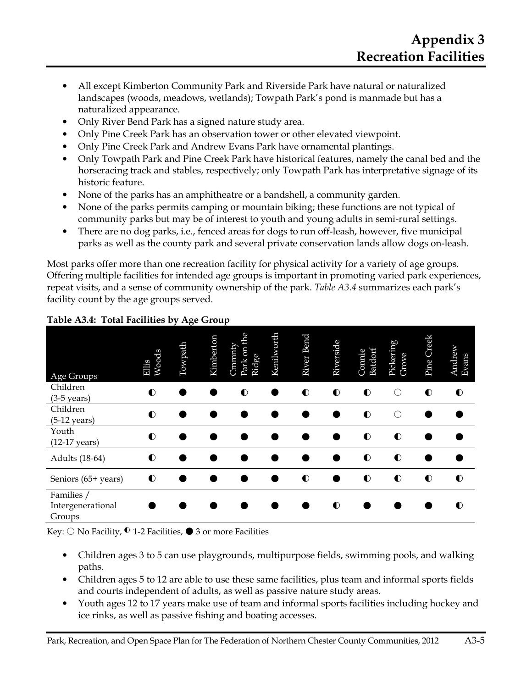- All except Kimberton Community Park and Riverside Park have natural or naturalized landscapes (woods, meadows, wetlands); Towpath Park's pond is manmade but has a naturalized appearance.
- Only River Bend Park has a signed nature study area.
- Only Pine Creek Park has an observation tower or other elevated viewpoint.
- Only Pine Creek Park and Andrew Evans Park have ornamental plantings.
- Only Towpath Park and Pine Creek Park have historical features, namely the canal bed and the horseracing track and stables, respectively; only Towpath Park has interpretative signage of its historic feature.
- None of the parks has an amphitheatre or a bandshell, a community garden.
- None of the parks permits camping or mountain biking; these functions are not typical of community parks but may be of interest to youth and young adults in semi-rural settings.
- There are no dog parks, i.e., fenced areas for dogs to run off-leash, however, five municipal parks as well as the county park and several private conservation lands allow dogs on-leash.

Most parks offer more than one recreation facility for physical activity for a variety of age groups. Offering multiple facilities for intended age groups is important in promoting varied park experiences, repeat visits, and a sense of community ownership of the park. *Table A3.4* summarizes each park's facility count by the age groups served.

| Age Groups                                | Woods<br>Bilis | Towpath | Kimberton | <b>ed</b><br>Cmmnty<br>Park on<br>Ridge | Kenilworth | <b>Bend</b><br>River | Riverside | Batdorf<br>Connie | Pickering<br>Grove | Pine Creek | Andrew<br>Evans |
|-------------------------------------------|----------------|---------|-----------|-----------------------------------------|------------|----------------------|-----------|-------------------|--------------------|------------|-----------------|
| Children<br>$(3-5 \text{ years})$         | $\bullet$      |         |           | $\bullet$                               |            | $\bullet$            | $\bullet$ | $\bullet$         | ∩                  | $\bullet$  | $\bullet$       |
| Children<br>$(5-12 \text{ years})$        | $\bullet$      |         |           |                                         |            |                      |           | $\bullet$         | . .                |            |                 |
| Youth<br>$(12-17 \text{ years})$          | $\bullet$      |         |           |                                         |            |                      |           | $\bullet$         | $\bullet$          |            |                 |
| Adults (18-64)                            | $\bullet$      |         |           |                                         |            |                      |           | $\bullet$         | $\bullet$          |            |                 |
| Seniors (65+ years)                       | $\bullet$      |         |           |                                         |            | $\bullet$            | ٠         | $\bullet$         | $\bullet$          | $\bullet$  | $\bullet$       |
| Families /<br>Intergenerational<br>Groups |                |         |           |                                         |            |                      | $\bullet$ |                   |                    |            | $\bullet$       |

#### **Table A3.4: Total Facilities by Age Group**

Key:  $\bigcirc$  No Facility,  $\bigcirc$  1-2 Facilities,  $\bigcirc$  3 or more Facilities

- Children ages 3 to 5 can use playgrounds, multipurpose fields, swimming pools, and walking paths.
- Children ages 5 to 12 are able to use these same facilities, plus team and informal sports fields and courts independent of adults, as well as passive nature study areas.
- Youth ages 12 to 17 years make use of team and informal sports facilities including hockey and ice rinks, as well as passive fishing and boating accesses.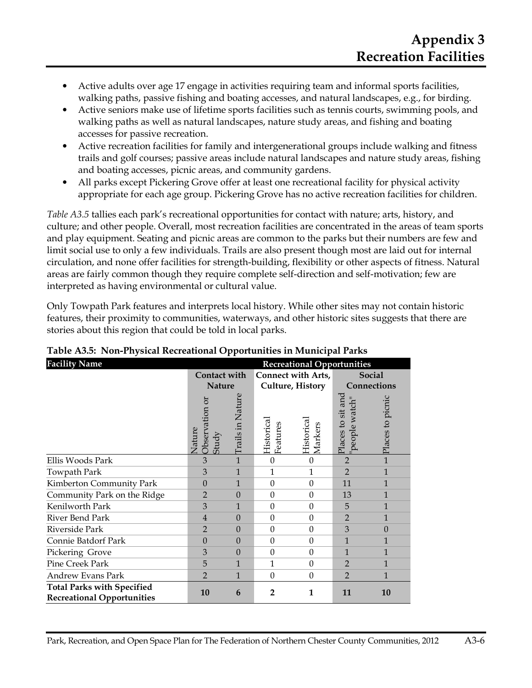- Active adults over age 17 engage in activities requiring team and informal sports facilities, walking paths, passive fishing and boating accesses, and natural landscapes, e.g., for birding.
- Active seniors make use of lifetime sports facilities such as tennis courts, swimming pools, and walking paths as well as natural landscapes, nature study areas, and fishing and boating accesses for passive recreation.
- Active recreation facilities for family and intergenerational groups include walking and fitness trails and golf courses; passive areas include natural landscapes and nature study areas, fishing and boating accesses, picnic areas, and community gardens.
- All parks except Pickering Grove offer at least one recreational facility for physical activity appropriate for each age group. Pickering Grove has no active recreation facilities for children.

*Table A3.5* tallies each park's recreational opportunities for contact with nature; arts, history, and culture; and other people. Overall, most recreation facilities are concentrated in the areas of team sports and play equipment. Seating and picnic areas are common to the parks but their numbers are few and limit social use to only a few individuals. Trails are also present though most are laid out for internal circulation, and none offer facilities for strength-building, flexibility or other aspects of fitness. Natural areas are fairly common though they require complete self-direction and self-motivation; few are interpreted as having environmental or cultural value.

Only Towpath Park features and interprets local history. While other sites may not contain historic features, their proximity to communities, waterways, and other historic sites suggests that there are stories about this region that could be told in local parks.

| <b>Facility Name</b>                                                   | <b>Recreational Opportunities</b> |                  |                        |                           |                                     |                  |  |  |  |  |  |
|------------------------------------------------------------------------|-----------------------------------|------------------|------------------------|---------------------------|-------------------------------------|------------------|--|--|--|--|--|
|                                                                        | Contact with                      |                  |                        | <b>Connect with Arts,</b> |                                     | Social           |  |  |  |  |  |
|                                                                        | <b>Nature</b>                     |                  |                        | Culture, History          | Connections                         |                  |  |  |  |  |  |
|                                                                        | Observation or<br>Nature<br>Study | Trails in Nature | Historical<br>Features | Historical<br>Markers     | Places to sit and<br>"people watch" | Places to picnic |  |  |  |  |  |
| Ellis Woods Park                                                       | 3                                 | $\mathbf{1}$     | $\theta$               | $\mathbf{0}$              | $\overline{2}$                      | $\overline{1}$   |  |  |  |  |  |
| Towpath Park                                                           | 3                                 | 1                | 1                      | 1                         | $\overline{2}$                      | $\mathbf{1}$     |  |  |  |  |  |
| Kimberton Community Park                                               | $\Omega$                          | $\mathbf{1}$     | $\Omega$               | $\Omega$                  | 11                                  | $\mathbf{1}$     |  |  |  |  |  |
| Community Park on the Ridge                                            | $\overline{2}$                    | $\Omega$         | $\theta$               | $\theta$                  | 13                                  | $\mathbf{1}$     |  |  |  |  |  |
| Kenilworth Park                                                        | 3                                 | 1                | $\mathbf{0}$           | $\boldsymbol{0}$          | 5                                   | $\mathbf{1}$     |  |  |  |  |  |
| River Bend Park                                                        | $\overline{4}$                    | $\Omega$         | $\theta$               | $\theta$                  | $\overline{2}$                      | $\mathbf{1}$     |  |  |  |  |  |
| Riverside Park                                                         | $\overline{2}$                    | $\Omega$         | $\Omega$               | $\boldsymbol{0}$          | 3                                   | $\Omega$         |  |  |  |  |  |
| Connie Batdorf Park                                                    | $\Omega$                          | $\theta$         | $\mathbf{0}$           | $\boldsymbol{0}$          | $\mathbf{1}$                        | $\mathbf{1}$     |  |  |  |  |  |
| Pickering Grove                                                        | 3                                 | $\theta$         | $\Omega$               | $\Omega$                  | $\mathbf{1}$                        | $\mathbf{1}$     |  |  |  |  |  |
| Pine Creek Park                                                        | 5                                 | $\mathbf{1}$     | $\mathbf{1}$           | $\Omega$                  | $\overline{2}$                      | $\mathbf{1}$     |  |  |  |  |  |
| Andrew Evans Park                                                      | $\overline{2}$                    | $\mathbf{1}$     | $\theta$               | $\mathbf{0}$              | $\overline{2}$                      | $\mathbf{1}$     |  |  |  |  |  |
| <b>Total Parks with Specified</b><br><b>Recreational Opportunities</b> | 10                                | 6                | $\overline{2}$         | 1                         | 11                                  | 10               |  |  |  |  |  |

### **Table A3.5: Non-Physical Recreational Opportunities in Municipal Parks**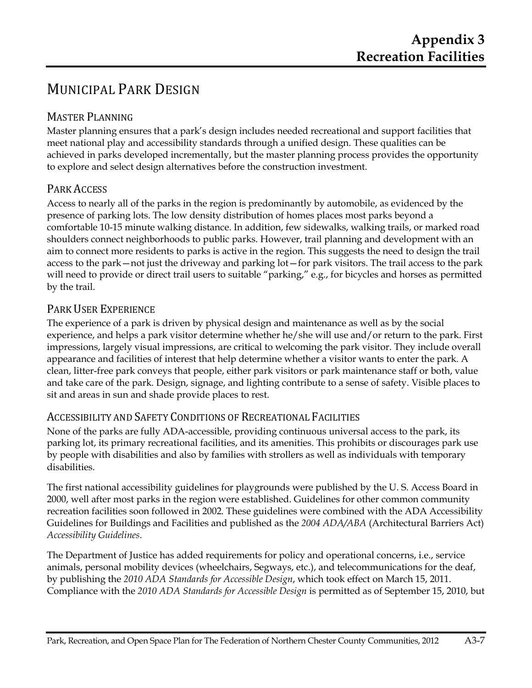# MUNICIPAL PARK DESIGN

### MASTER PLANNING

Master planning ensures that a park's design includes needed recreational and support facilities that meet national play and accessibility standards through a unified design. These qualities can be achieved in parks developed incrementally, but the master planning process provides the opportunity to explore and select design alternatives before the construction investment.

#### PARK ACCESS

Access to nearly all of the parks in the region is predominantly by automobile, as evidenced by the presence of parking lots. The low density distribution of homes places most parks beyond a comfortable 10-15 minute walking distance. In addition, few sidewalks, walking trails, or marked road shoulders connect neighborhoods to public parks. However, trail planning and development with an aim to connect more residents to parks is active in the region. This suggests the need to design the trail access to the park—not just the driveway and parking lot—for park visitors. The trail access to the park will need to provide or direct trail users to suitable "parking," e.g., for bicycles and horses as permitted by the trail.

#### PARK USER EXPERIENCE

The experience of a park is driven by physical design and maintenance as well as by the social experience, and helps a park visitor determine whether he/she will use and/or return to the park. First impressions, largely visual impressions, are critical to welcoming the park visitor. They include overall appearance and facilities of interest that help determine whether a visitor wants to enter the park. A clean, litter-free park conveys that people, either park visitors or park maintenance staff or both, value and take care of the park. Design, signage, and lighting contribute to a sense of safety. Visible places to sit and areas in sun and shade provide places to rest.

#### ACCESSIBILITY AND SAFETY CONDITIONS OF RECREATIONAL FACILITIES

None of the parks are fully ADA-accessible, providing continuous universal access to the park, its parking lot, its primary recreational facilities, and its amenities. This prohibits or discourages park use by people with disabilities and also by families with strollers as well as individuals with temporary disabilities.

The first national accessibility guidelines for playgrounds were published by the U. S. Access Board in 2000, well after most parks in the region were established. Guidelines for other common community recreation facilities soon followed in 2002. These guidelines were combined with the ADA Accessibility Guidelines for Buildings and Facilities and published as the *2004 ADA/ABA* (Architectural Barriers Act) *Accessibility Guidelines*.

The Department of Justice has added requirements for policy and operational concerns, i.e., service animals, personal mobility devices (wheelchairs, Segways, etc.), and telecommunications for the deaf, by publishing the *2010 ADA Standards for Accessible Design*, which took effect on March 15, 2011. Compliance with the *2010 ADA Standards for Accessible Design* is permitted as of September 15, 2010, but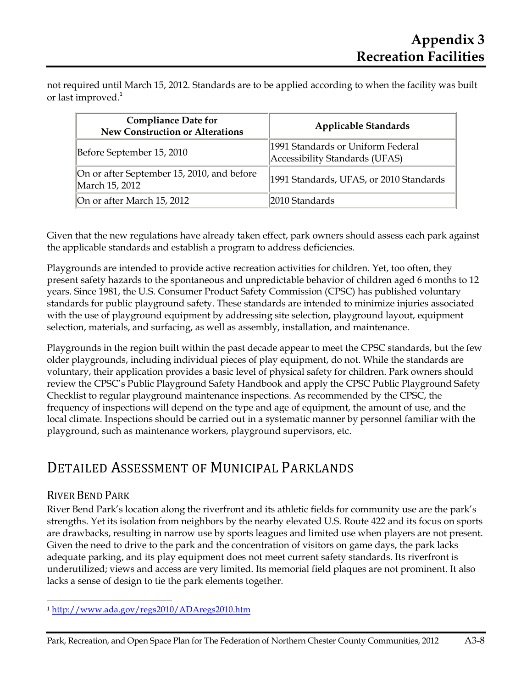not required until March 15, 2012. Standards are to be applied according to when the facility was built or last improved.<sup>1</sup>

| <b>Compliance Date for</b><br><b>New Construction or Alterations</b> | <b>Applicable Standards</b>                                         |  |  |  |  |  |  |
|----------------------------------------------------------------------|---------------------------------------------------------------------|--|--|--|--|--|--|
| Before September 15, 2010                                            | 1991 Standards or Uniform Federal<br>Accessibility Standards (UFAS) |  |  |  |  |  |  |
| On or after September 15, 2010, and before<br>March 15, 2012         | 1991 Standards, UFAS, or 2010 Standards                             |  |  |  |  |  |  |
| On or after March 15, 2012                                           | 2010 Standards                                                      |  |  |  |  |  |  |

Given that the new regulations have already taken effect, park owners should assess each park against the applicable standards and establish a program to address deficiencies.

Playgrounds are intended to provide active recreation activities for children. Yet, too often, they present safety hazards to the spontaneous and unpredictable behavior of children aged 6 months to 12 years. Since 1981, the U.S. Consumer Product Safety Commission (CPSC) has published voluntary standards for public playground safety. These standards are intended to minimize injuries associated with the use of playground equipment by addressing site selection, playground layout, equipment selection, materials, and surfacing, as well as assembly, installation, and maintenance.

Playgrounds in the region built within the past decade appear to meet the CPSC standards, but the few older playgrounds, including individual pieces of play equipment, do not. While the standards are voluntary, their application provides a basic level of physical safety for children. Park owners should review the CPSC's Public Playground Safety Handbook and apply the CPSC Public Playground Safety Checklist to regular playground maintenance inspections. As recommended by the CPSC, the frequency of inspections will depend on the type and age of equipment, the amount of use, and the local climate. Inspections should be carried out in a systematic manner by personnel familiar with the playground, such as maintenance workers, playground supervisors, etc.

# DETAILED ASSESSMENT OF MUNICIPAL PARKLANDS

### RIVER BEND PARK

 $\overline{a}$ 

River Bend Park's location along the riverfront and its athletic fields for community use are the park's strengths. Yet its isolation from neighbors by the nearby elevated U.S. Route 422 and its focus on sports are drawbacks, resulting in narrow use by sports leagues and limited use when players are not present. Given the need to drive to the park and the concentration of visitors on game days, the park lacks adequate parking, and its play equipment does not meet current safety standards. Its riverfront is underutilized; views and access are very limited. Its memorial field plaques are not prominent. It also lacks a sense of design to tie the park elements together.

<sup>1</sup> http://www.ada.gov/regs2010/ADAregs2010.htm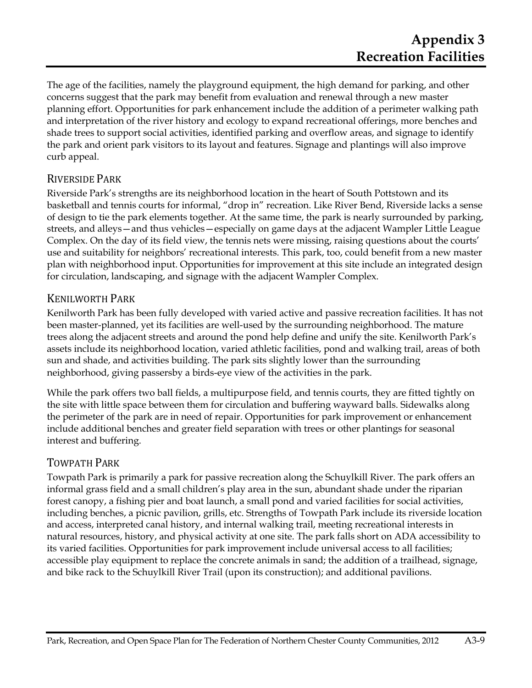The age of the facilities, namely the playground equipment, the high demand for parking, and other concerns suggest that the park may benefit from evaluation and renewal through a new master planning effort. Opportunities for park enhancement include the addition of a perimeter walking path and interpretation of the river history and ecology to expand recreational offerings, more benches and shade trees to support social activities, identified parking and overflow areas, and signage to identify the park and orient park visitors to its layout and features. Signage and plantings will also improve curb appeal.

### RIVERSIDE PARK

Riverside Park's strengths are its neighborhood location in the heart of South Pottstown and its basketball and tennis courts for informal, "drop in" recreation. Like River Bend, Riverside lacks a sense of design to tie the park elements together. At the same time, the park is nearly surrounded by parking, streets, and alleys—and thus vehicles—especially on game days at the adjacent Wampler Little League Complex. On the day of its field view, the tennis nets were missing, raising questions about the courts' use and suitability for neighbors' recreational interests. This park, too, could benefit from a new master plan with neighborhood input. Opportunities for improvement at this site include an integrated design for circulation, landscaping, and signage with the adjacent Wampler Complex.

#### KENILWORTH PARK

Kenilworth Park has been fully developed with varied active and passive recreation facilities. It has not been master-planned, yet its facilities are well-used by the surrounding neighborhood. The mature trees along the adjacent streets and around the pond help define and unify the site. Kenilworth Park's assets include its neighborhood location, varied athletic facilities, pond and walking trail, areas of both sun and shade, and activities building. The park sits slightly lower than the surrounding neighborhood, giving passersby a birds-eye view of the activities in the park.

While the park offers two ball fields, a multipurpose field, and tennis courts, they are fitted tightly on the site with little space between them for circulation and buffering wayward balls. Sidewalks along the perimeter of the park are in need of repair. Opportunities for park improvement or enhancement include additional benches and greater field separation with trees or other plantings for seasonal interest and buffering.

#### TOWPATH PARK

Towpath Park is primarily a park for passive recreation along the Schuylkill River. The park offers an informal grass field and a small children's play area in the sun, abundant shade under the riparian forest canopy, a fishing pier and boat launch, a small pond and varied facilities for social activities, including benches, a picnic pavilion, grills, etc. Strengths of Towpath Park include its riverside location and access, interpreted canal history, and internal walking trail, meeting recreational interests in natural resources, history, and physical activity at one site. The park falls short on ADA accessibility to its varied facilities. Opportunities for park improvement include universal access to all facilities; accessible play equipment to replace the concrete animals in sand; the addition of a trailhead, signage, and bike rack to the Schuylkill River Trail (upon its construction); and additional pavilions.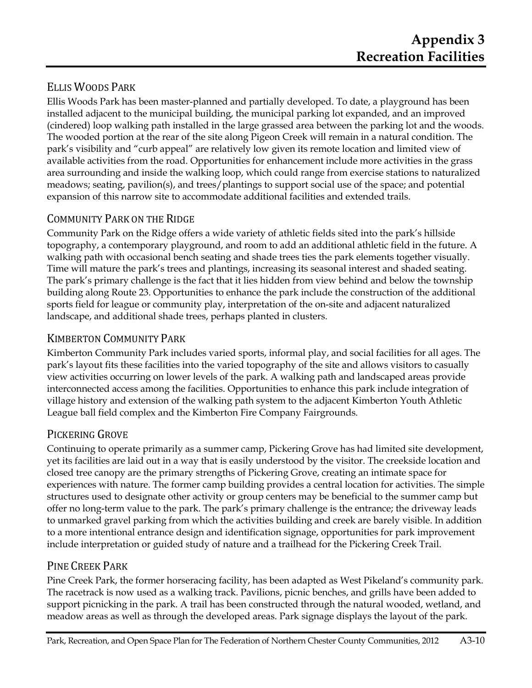### ELLIS WOODS PARK

Ellis Woods Park has been master-planned and partially developed. To date, a playground has been installed adjacent to the municipal building, the municipal parking lot expanded, and an improved (cindered) loop walking path installed in the large grassed area between the parking lot and the woods. The wooded portion at the rear of the site along Pigeon Creek will remain in a natural condition. The park's visibility and "curb appeal" are relatively low given its remote location and limited view of available activities from the road. Opportunities for enhancement include more activities in the grass area surrounding and inside the walking loop, which could range from exercise stations to naturalized meadows; seating, pavilion(s), and trees/plantings to support social use of the space; and potential expansion of this narrow site to accommodate additional facilities and extended trails.

## COMMUNITY PARK ON THE RIDGE

Community Park on the Ridge offers a wide variety of athletic fields sited into the park's hillside topography, a contemporary playground, and room to add an additional athletic field in the future. A walking path with occasional bench seating and shade trees ties the park elements together visually. Time will mature the park's trees and plantings, increasing its seasonal interest and shaded seating. The park's primary challenge is the fact that it lies hidden from view behind and below the township building along Route 23. Opportunities to enhance the park include the construction of the additional sports field for league or community play, interpretation of the on-site and adjacent naturalized landscape, and additional shade trees, perhaps planted in clusters.

# KIMBERTON COMMUNITY PARK

Kimberton Community Park includes varied sports, informal play, and social facilities for all ages. The park's layout fits these facilities into the varied topography of the site and allows visitors to casually view activities occurring on lower levels of the park. A walking path and landscaped areas provide interconnected access among the facilities. Opportunities to enhance this park include integration of village history and extension of the walking path system to the adjacent Kimberton Youth Athletic League ball field complex and the Kimberton Fire Company Fairgrounds.

# PICKERING GROVE

Continuing to operate primarily as a summer camp, Pickering Grove has had limited site development, yet its facilities are laid out in a way that is easily understood by the visitor. The creekside location and closed tree canopy are the primary strengths of Pickering Grove, creating an intimate space for experiences with nature. The former camp building provides a central location for activities. The simple structures used to designate other activity or group centers may be beneficial to the summer camp but offer no long-term value to the park. The park's primary challenge is the entrance; the driveway leads to unmarked gravel parking from which the activities building and creek are barely visible. In addition to a more intentional entrance design and identification signage, opportunities for park improvement include interpretation or guided study of nature and a trailhead for the Pickering Creek Trail.

### PINE CREEK PARK

Pine Creek Park, the former horseracing facility, has been adapted as West Pikeland's community park. The racetrack is now used as a walking track. Pavilions, picnic benches, and grills have been added to support picnicking in the park. A trail has been constructed through the natural wooded, wetland, and meadow areas as well as through the developed areas. Park signage displays the layout of the park.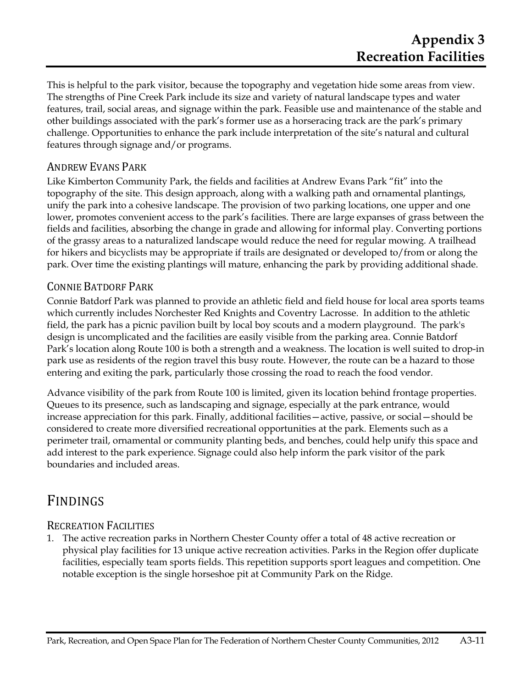This is helpful to the park visitor, because the topography and vegetation hide some areas from view. The strengths of Pine Creek Park include its size and variety of natural landscape types and water features, trail, social areas, and signage within the park. Feasible use and maintenance of the stable and other buildings associated with the park's former use as a horseracing track are the park's primary challenge. Opportunities to enhance the park include interpretation of the site's natural and cultural features through signage and/or programs.

#### ANDREW EVANS PARK

Like Kimberton Community Park, the fields and facilities at Andrew Evans Park "fit" into the topography of the site. This design approach, along with a walking path and ornamental plantings, unify the park into a cohesive landscape. The provision of two parking locations, one upper and one lower, promotes convenient access to the park's facilities. There are large expanses of grass between the fields and facilities, absorbing the change in grade and allowing for informal play. Converting portions of the grassy areas to a naturalized landscape would reduce the need for regular mowing. A trailhead for hikers and bicyclists may be appropriate if trails are designated or developed to/from or along the park. Over time the existing plantings will mature, enhancing the park by providing additional shade.

#### CONNIE BATDORF PARK

Connie Batdorf Park was planned to provide an athletic field and field house for local area sports teams which currently includes Norchester Red Knights and Coventry Lacrosse. In addition to the athletic field, the park has a picnic pavilion built by local boy scouts and a modern playground. The park's design is uncomplicated and the facilities are easily visible from the parking area. Connie Batdorf Park's location along Route 100 is both a strength and a weakness. The location is well suited to drop-in park use as residents of the region travel this busy route. However, the route can be a hazard to those entering and exiting the park, particularly those crossing the road to reach the food vendor.

Advance visibility of the park from Route 100 is limited, given its location behind frontage properties. Queues to its presence, such as landscaping and signage, especially at the park entrance, would increase appreciation for this park. Finally, additional facilities—active, passive, or social—should be considered to create more diversified recreational opportunities at the park. Elements such as a perimeter trail, ornamental or community planting beds, and benches, could help unify this space and add interest to the park experience. Signage could also help inform the park visitor of the park boundaries and included areas.

# FINDINGS

#### RECREATION FACILITIES

1. The active recreation parks in Northern Chester County offer a total of 48 active recreation or physical play facilities for 13 unique active recreation activities. Parks in the Region offer duplicate facilities, especially team sports fields. This repetition supports sport leagues and competition. One notable exception is the single horseshoe pit at Community Park on the Ridge.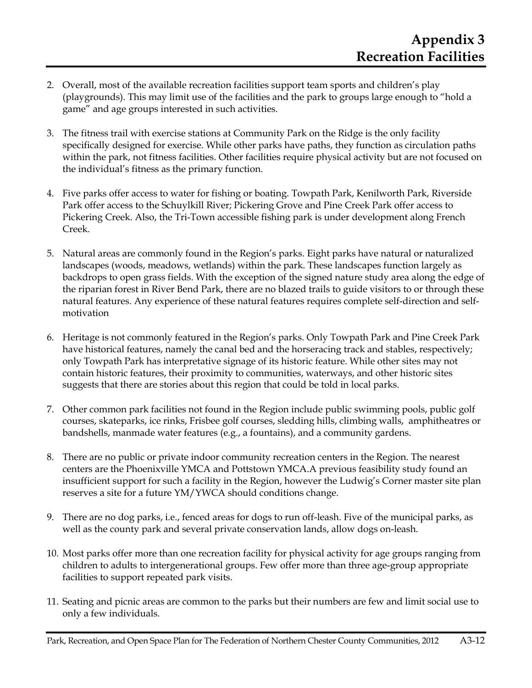- 2. Overall, most of the available recreation facilities support team sports and children's play (playgrounds). This may limit use of the facilities and the park to groups large enough to "hold a game" and age groups interested in such activities.
- 3. The fitness trail with exercise stations at Community Park on the Ridge is the only facility specifically designed for exercise. While other parks have paths, they function as circulation paths within the park, not fitness facilities. Other facilities require physical activity but are not focused on the individual's fitness as the primary function.
- 4. Five parks offer access to water for fishing or boating. Towpath Park, Kenilworth Park, Riverside Park offer access to the Schuylkill River; Pickering Grove and Pine Creek Park offer access to Pickering Creek. Also, the Tri-Town accessible fishing park is under development along French Creek.
- 5. Natural areas are commonly found in the Region's parks. Eight parks have natural or naturalized landscapes (woods, meadows, wetlands) within the park. These landscapes function largely as backdrops to open grass fields. With the exception of the signed nature study area along the edge of the riparian forest in River Bend Park, there are no blazed trails to guide visitors to or through these natural features. Any experience of these natural features requires complete self-direction and selfmotivation
- 6. Heritage is not commonly featured in the Region's parks. Only Towpath Park and Pine Creek Park have historical features, namely the canal bed and the horseracing track and stables, respectively; only Towpath Park has interpretative signage of its historic feature. While other sites may not contain historic features, their proximity to communities, waterways, and other historic sites suggests that there are stories about this region that could be told in local parks.
- 7. Other common park facilities not found in the Region include public swimming pools, public golf courses, skateparks, ice rinks, Frisbee golf courses, sledding hills, climbing walls, amphitheatres or bandshells, manmade water features (e.g., a fountains), and a community gardens.
- 8. There are no public or private indoor community recreation centers in the Region. The nearest centers are the Phoenixville YMCA and Pottstown YMCA.A previous feasibility study found an insufficient support for such a facility in the Region, however the Ludwig's Corner master site plan reserves a site for a future YM/YWCA should conditions change.
- 9. There are no dog parks, i.e., fenced areas for dogs to run off-leash. Five of the municipal parks, as well as the county park and several private conservation lands, allow dogs on-leash.
- 10. Most parks offer more than one recreation facility for physical activity for age groups ranging from children to adults to intergenerational groups. Few offer more than three age-group appropriate facilities to support repeated park visits.
- 11. Seating and picnic areas are common to the parks but their numbers are few and limit social use to only a few individuals.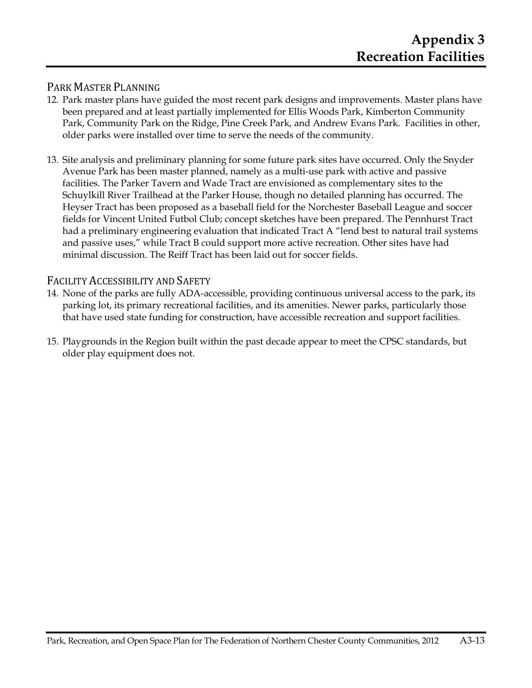#### PARK MASTER PLANNING

- 12. Park master plans have guided the most recent park designs and improvements. Master plans have been prepared and at least partially implemented for Ellis Woods Park, Kimberton Community Park, Community Park on the Ridge, Pine Creek Park, and Andrew Evans Park. Facilities in other, older parks were installed over time to serve the needs of the community.
- 13. Site analysis and preliminary planning for some future park sites have occurred. Only the Snyder Avenue Park has been master planned, namely as a multi-use park with active and passive facilities. The Parker Tavern and Wade Tract are envisioned as complementary sites to the Schuylkill River Trailhead at the Parker House, though no detailed planning has occurred. The Heyser Tract has been proposed as a baseball field for the Norchester Baseball League and soccer fields for Vincent United Futbol Club; concept sketches have been prepared. The Pennhurst Tract had a preliminary engineering evaluation that indicated Tract A "lend best to natural trail systems and passive uses," while Tract B could support more active recreation. Other sites have had minimal discussion. The Reiff Tract has been laid out for soccer fields.

#### FACILITY ACCESSIBILITY AND SAFETY

- 14. None of the parks are fully ADA-accessible, providing continuous universal access to the park, its parking lot, its primary recreational facilities, and its amenities. Newer parks, particularly those that have used state funding for construction, have accessible recreation and support facilities.
- 15. Playgrounds in the Region built within the past decade appear to meet the CPSC standards, but older play equipment does not.